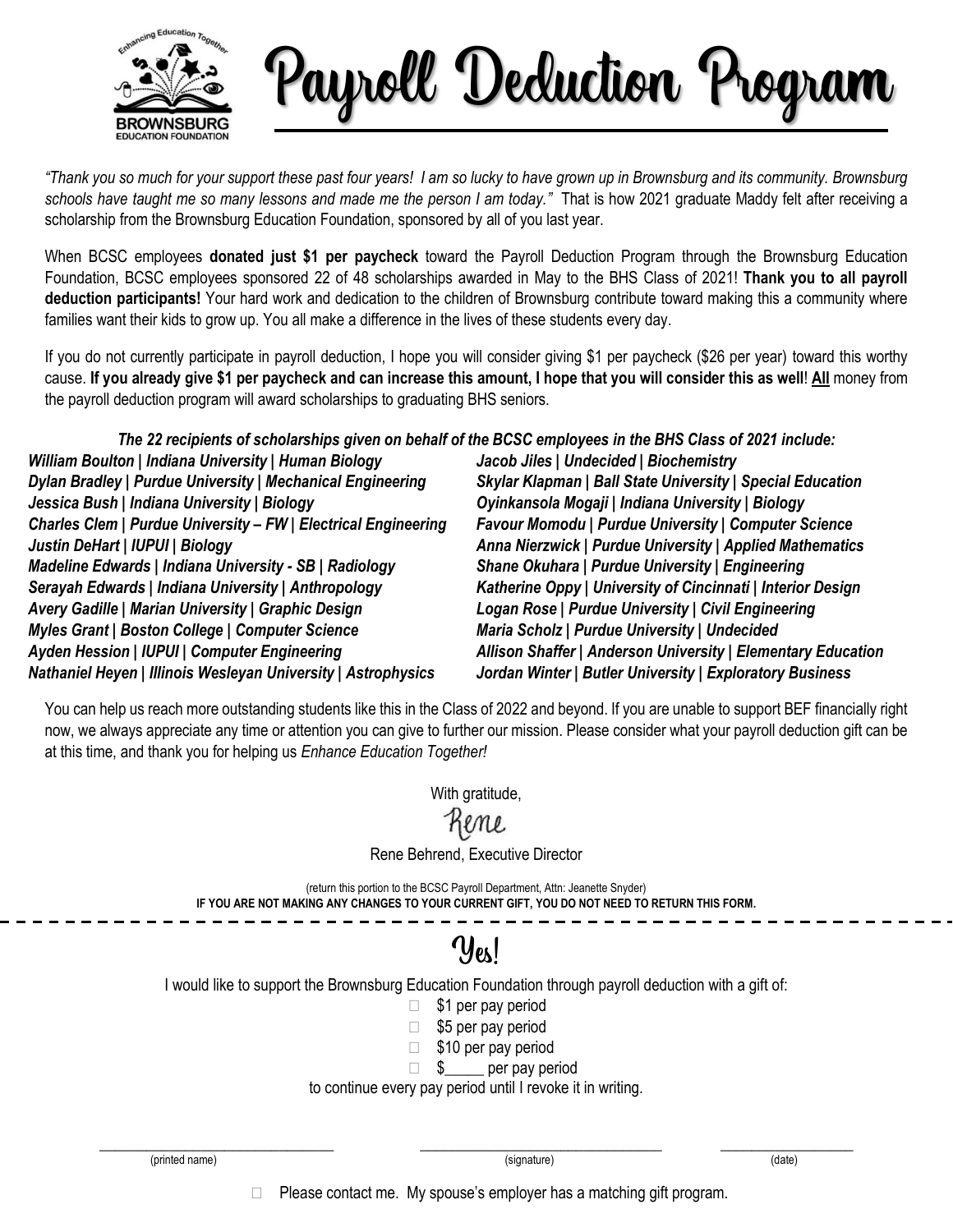

Payroll Deduction Program

*"Thank you so much for your support these past four years! I am so lucky to have grown up in Brownsburg and its community. Brownsburg schools have taught me so many lessons and made me the person I am today."* That is how 2021 graduate Maddy felt after receiving a scholarship from the Brownsburg Education Foundation, sponsored by all of you last year.

When BCSC employees **donated just \$1 per paycheck** toward the Payroll Deduction Program through the Brownsburg Education Foundation, BCSC employees sponsored 22 of 48 scholarships awarded in May to the BHS Class of 2021! **Thank you to all payroll deduction participants!** Your hard work and dedication to the children of Brownsburg contribute toward making this a community where families want their kids to grow up. You all make a difference in the lives of these students every day.

If you do not currently participate in payroll deduction, I hope you will consider giving \$1 per paycheck (\$26 per year) toward this worthy cause. **If you already give \$1 per paycheck and can increase this amount, I hope that you will consider this as well**! **All** money from the payroll deduction program will award scholarships to graduating BHS seniors.

*The 22 recipients of scholarships given on behalf of the BCSC employees in the BHS Class of 2021 include:*

*William Boulton | Indiana University | Human Biology Dylan Bradley | Purdue University | Mechanical Engineering Jessica Bush | Indiana University | Biology Charles Clem | Purdue University – FW | Electrical Engineering Justin DeHart | IUPUI | Biology Madeline Edwards | Indiana University - SB | Radiology Serayah Edwards | Indiana University | Anthropology Avery Gadille | Marian University | Graphic Design Myles Grant | Boston College | Computer Science Ayden Hession | IUPUI | Computer Engineering Nathaniel Heyen | Illinois Wesleyan University | Astrophysics*

*Jacob Jiles | Undecided | Biochemistry Skylar Klapman | Ball State University | Special Education Oyinkansola Mogaji | Indiana University | Biology Favour Momodu | Purdue University | Computer Science Anna Nierzwick | Purdue University | Applied Mathematics Shane Okuhara | Purdue University | Engineering Katherine Oppy | University of Cincinnati | Interior Design Logan Rose | Purdue University | Civil Engineering Maria Scholz | Purdue University | Undecided Allison Shaffer | Anderson University | Elementary Education Jordan Winter | Butler University | Exploratory Business*

You can help us reach more outstanding students like this in the Class of 2022 and beyond. If you are unable to support BEF financially right now, we always appreciate any time or attention you can give to further our mission. Please consider what your payroll deduction gift can be at this time, and thank you for helping us *Enhance Education Together!*

With gratitude,

Rene Behrend, Executive Director

(return this portion to the BCSC Payroll Department, Attn: Jeanette Snyder) **IF YOU ARE NOT MAKING ANY CHANGES TO YOUR CURRENT GIFT, YOU DO NOT NEED TO RETURN THIS FORM.**

## $y_{\text{ex}}$

I would like to support the Brownsburg Education Foundation through payroll deduction with a gift of:

- $\Box$  \$1 per pay period
- $\Box$  \$5 per pay period
- $\Box$  \$10 per pay period
- $\Box$  \$ per pay period

to continue every pay period until I revoke it in writing.

\_\_\_\_\_\_\_\_\_\_\_\_\_\_\_\_\_\_\_\_\_\_\_\_\_\_\_\_\_\_ \_\_\_\_\_\_\_\_\_\_\_\_\_\_\_\_\_\_\_\_\_\_\_\_\_\_\_\_\_\_\_ \_\_\_\_\_\_\_\_\_\_\_\_\_\_\_\_\_

 $\Box$  Please contact me. My spouse's employer has a matching gift program.